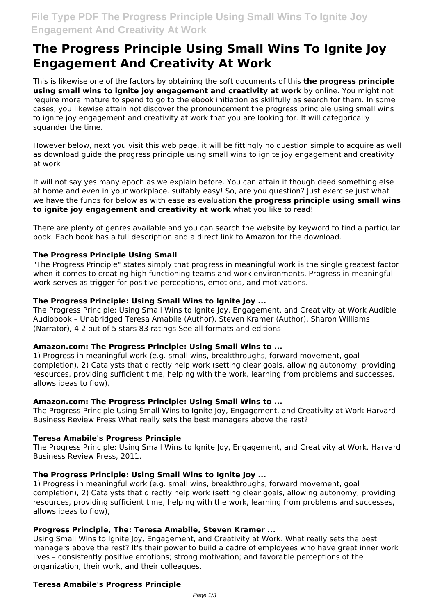# **The Progress Principle Using Small Wins To Ignite Joy Engagement And Creativity At Work**

This is likewise one of the factors by obtaining the soft documents of this **the progress principle using small wins to ignite joy engagement and creativity at work** by online. You might not require more mature to spend to go to the ebook initiation as skillfully as search for them. In some cases, you likewise attain not discover the pronouncement the progress principle using small wins to ignite joy engagement and creativity at work that you are looking for. It will categorically squander the time.

However below, next you visit this web page, it will be fittingly no question simple to acquire as well as download guide the progress principle using small wins to ignite joy engagement and creativity at work

It will not say yes many epoch as we explain before. You can attain it though deed something else at home and even in your workplace. suitably easy! So, are you question? Just exercise just what we have the funds for below as with ease as evaluation **the progress principle using small wins to ignite joy engagement and creativity at work** what you like to read!

There are plenty of genres available and you can search the website by keyword to find a particular book. Each book has a full description and a direct link to Amazon for the download.

# **The Progress Principle Using Small**

"The Progress Principle" states simply that progress in meaningful work is the single greatest factor when it comes to creating high functioning teams and work environments. Progress in meaningful work serves as trigger for positive perceptions, emotions, and motivations.

### **The Progress Principle: Using Small Wins to Ignite Joy ...**

The Progress Principle: Using Small Wins to Ignite Joy, Engagement, and Creativity at Work Audible Audiobook – Unabridged Teresa Amabile (Author), Steven Kramer (Author), Sharon Williams (Narrator), 4.2 out of 5 stars 83 ratings See all formats and editions

### **Amazon.com: The Progress Principle: Using Small Wins to ...**

1) Progress in meaningful work (e.g. small wins, breakthroughs, forward movement, goal completion), 2) Catalysts that directly help work (setting clear goals, allowing autonomy, providing resources, providing sufficient time, helping with the work, learning from problems and successes, allows ideas to flow),

## **Amazon.com: The Progress Principle: Using Small Wins to ...**

The Progress Principle Using Small Wins to Ignite Joy, Engagement, and Creativity at Work Harvard Business Review Press What really sets the best managers above the rest?

### **Teresa Amabile's Progress Principle**

The Progress Principle: Using Small Wins to Ignite Joy, Engagement, and Creativity at Work. Harvard Business Review Press, 2011.

### **The Progress Principle: Using Small Wins to Ignite Joy ...**

1) Progress in meaningful work (e.g. small wins, breakthroughs, forward movement, goal completion), 2) Catalysts that directly help work (setting clear goals, allowing autonomy, providing resources, providing sufficient time, helping with the work, learning from problems and successes, allows ideas to flow),

### **Progress Principle, The: Teresa Amabile, Steven Kramer ...**

Using Small Wins to Ignite Joy, Engagement, and Creativity at Work. What really sets the best managers above the rest? It's their power to build a cadre of employees who have great inner work lives – consistently positive emotions; strong motivation; and favorable perceptions of the organization, their work, and their colleagues.

# **Teresa Amabile's Progress Principle**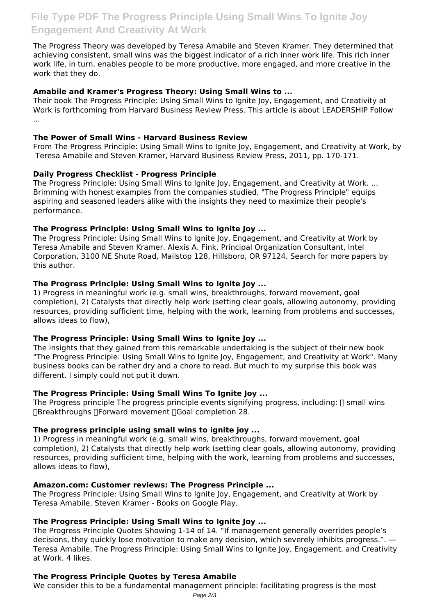The Progress Theory was developed by Teresa Amabile and Steven Kramer. They determined that achieving consistent, small wins was the biggest indicator of a rich inner work life. This rich inner work life, in turn, enables people to be more productive, more engaged, and more creative in the work that they do.

# **Amabile and Kramer's Progress Theory: Using Small Wins to ...**

Their book The Progress Principle: Using Small Wins to Ignite Joy, Engagement, and Creativity at Work is forthcoming from Harvard Business Review Press. This article is about LEADERSHIP Follow ...

## **The Power of Small Wins - Harvard Business Review**

From The Progress Principle: Using Small Wins to Ignite Joy, Engagement, and Creativity at Work, by Teresa Amabile and Steven Kramer, Harvard Business Review Press, 2011, pp. 170‐171.

# **Daily Progress Checklist - Progress Principle**

The Progress Principle: Using Small Wins to Ignite Joy, Engagement, and Creativity at Work. ... Brimming with honest examples from the companies studied, "The Progress Principle" equips aspiring and seasoned leaders alike with the insights they need to maximize their people's performance.

# **The Progress Principle: Using Small Wins to Ignite Joy ...**

The Progress Principle: Using Small Wins to Ignite Joy, Engagement, and Creativity at Work by Teresa Amabile and Steven Kramer. Alexis A. Fink. Principal Organization Consultant, Intel Corporation, 3100 NE Shute Road, Mailstop 128, Hillsboro, OR 97124. Search for more papers by this author.

# **The Progress Principle: Using Small Wins to Ignite Joy ...**

1) Progress in meaningful work (e.g. small wins, breakthroughs, forward movement, goal completion), 2) Catalysts that directly help work (setting clear goals, allowing autonomy, providing resources, providing sufficient time, helping with the work, learning from problems and successes, allows ideas to flow),

### **The Progress Principle: Using Small Wins to Ignite Joy ...**

The insights that they gained from this remarkable undertaking is the subject of their new book "The Progress Principle: Using Small Wins to Ignite Joy, Engagement, and Creativity at Work". Many business books can be rather dry and a chore to read. But much to my surprise this book was different. I simply could not put it down.

### **The Progress Principle: Using Small Wins To Ignite Joy ...**

The Progress principle The progress principle events signifying progress, including:  $\Box$  small wins ∏Breakthroughs ∏Forward movement ∏Goal completion 28.

### **The progress principle using small wins to ignite joy ...**

1) Progress in meaningful work (e.g. small wins, breakthroughs, forward movement, goal completion), 2) Catalysts that directly help work (setting clear goals, allowing autonomy, providing resources, providing sufficient time, helping with the work, learning from problems and successes, allows ideas to flow),

# **Amazon.com: Customer reviews: The Progress Principle ...**

The Progress Principle: Using Small Wins to Ignite Joy, Engagement, and Creativity at Work by Teresa Amabile, Steven Kramer - Books on Google Play.

# **The Progress Principle: Using Small Wins to Ignite Joy ...**

The Progress Principle Quotes Showing 1-14 of 14. "If management generally overrides people's decisions, they quickly lose motivation to make any decision, which severely inhibits progress.". ― Teresa Amabile, The Progress Principle: Using Small Wins to Ignite Joy, Engagement, and Creativity at Work. 4 likes.

# **The Progress Principle Quotes by Teresa Amabile**

We consider this to be a fundamental management principle: facilitating progress is the most